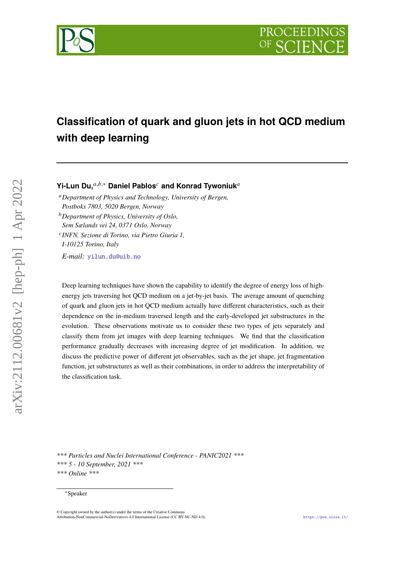

# **Classification of quark and gluon jets in hot QCD medium with deep learning**

## **Yi-Lun Du,**<sup>a,b,∗</sup> Daniel Pablos<sup>c</sup> and Konrad Tywoniuk<sup>*a*</sup>

*Department of Physics and Technology, University of Bergen, Postboks 7803, 5020 Bergen, Norway*

*Department of Physics, University of Oslo, Sem Sælands vei 24, 0371 Oslo, Norway*

*INFN, Sezione di Torino, via Pietro Giuria 1,*

*I-10125 Torino, Italy*

*E-mail:* [yilun.du@uib.no](mailto:yilun.du@uib.no)

Deep learning techniques have shown the capability to identify the degree of energy loss of highenergy jets traversing hot QCD medium on a jet-by-jet basis. The average amount of quenching of quark and gluon jets in hot QCD medium actually have different characteristics, such as their dependence on the in-medium traversed length and the early-developed jet substructures in the evolution. These observations motivate us to consider these two types of jets separately and classify them from jet images with deep learning techniques. We find that the classification performance gradually decreases with increasing degree of jet modification. In addition, we discuss the predictive power of different jet observables, such as the jet shape, jet fragmentation function, jet substructures as well as their combinations, in order to address the interpretability of the classification task.

*\*\*\* Particles and Nuclei International Conference - PANIC2021 \*\*\* \*\*\* 5 - 10 September, 2021 \*\*\* \*\*\* Online \*\*\**

#### <sup>∗</sup>Speaker

© Copyright owned by the author(s) under the terms of the Creative Commons Attribution-NonCommercial-NoDerivatives 4.0 International License (CC BY-NC-ND 4.0). <https://pos.sissa.it/>

arXiv:2112.00681v2 [hep-ph] 1 Apr 2022

arXiv:2112.00681v2 [hep-ph] 1 Apr 2022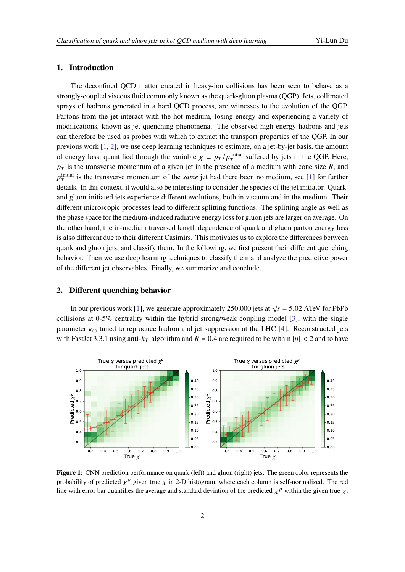### **1. Introduction**

The deconfined QCD matter created in heavy-ion collisions has been seen to behave as a strongly-coupled viscous fluid commonly known as the quark-gluon plasma (QGP). Jets, collimated sprays of hadrons generated in a hard QCD process, are witnesses to the evolution of the QGP. Partons from the jet interact with the hot medium, losing energy and experiencing a variety of modifications, known as jet quenching phenomena. The observed high-energy hadrons and jets can therefore be used as probes with which to extract the transport properties of the QGP. In our previous work [\[1,](#page-4-0) [2\]](#page-4-1), we use deep learning techniques to estimate, on a jet-by-jet basis, the amount of energy loss, quantified through the variable  $\chi \equiv p_T/p_T^{\text{initial}}$  suffered by jets in the QGP. Here,  $p_T$  is the transverse momentum of a given jet in the presence of a medium with cone size R, and  $p_T^{\text{initial}}$  is the transverse momentum of the *same* jet had there been no medium, see [\[1\]](#page-4-0) for further details. In this context, it would also be interesting to consider the species of the jet initiator. Quarkand gluon-initiated jets experience different evolutions, both in vacuum and in the medium. Their different microscopic processes lead to different splitting functions. The splitting angle as well as the phase space for the medium-induced radiative energy loss for gluon jets are larger on average. On the other hand, the in-medium traversed length dependence of quark and gluon parton energy loss is also different due to their different Casimirs. This motivates us to explore the differences between quark and gluon jets, and classify them. In the following, we first present their different quenching behavior. Then we use deep learning techniques to classify them and analyze the predictive power of the different jet observables. Finally, we summarize and conclude.

#### **2. Different quenching behavior**

In our previous work [\[1\]](#page-4-0), we generate approximately 250,000 jets at  $\sqrt{s} = 5.02$  ATeV for PbPb collisions at 0-5% centrality within the hybrid strong/weak coupling model [\[3\]](#page-4-2), with the single parameter  $\kappa_{sc}$  tuned to reproduce hadron and jet suppression at the LHC [\[4\]](#page-4-3). Reconstructed jets with FastJet 3.3.1 using anti- $k_T$  algorithm and  $R = 0.4$  are required to be within  $|\eta| < 2$  and to have

<span id="page-1-0"></span>

**Figure 1:** CNN prediction performance on quark (left) and gluon (right) jets. The green color represents the probability of predicted  $\chi^p$  given true  $\chi$  in 2-D histogram, where each column is self-normalized. The red line with error bar quantifies the average and standard deviation of the predicted  $\chi^p$  within the given true  $\chi$ .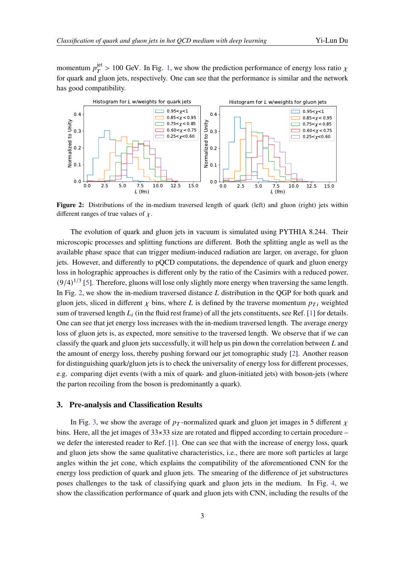momentum  $p_T^{\text{jet}} > 100$  GeV. In Fig. [1,](#page-1-0) we show the prediction performance of energy loss ratio  $\chi$ for quark and gluon jets, respectively. One can see that the performance is similar and the network has good compatibility.

<span id="page-2-0"></span>

**Figure 2:** Distributions of the in-medium traversed length of quark (left) and gluon (right) jets within different ranges of true values of  $\chi$ .

The evolution of quark and gluon jets in vacuum is simulated using PYTHIA 8.244. Their microscopic processes and splitting functions are different. Both the splitting angle as well as the available phase space that can trigger medium-induced radiation are larger, on average, for gluon jets. However, and differently to pQCD computations, the dependence of quark and gluon energy loss in holographic approaches is different only by the ratio of the Casimirs with a reduced power,  $(9/4)^{1/3}$  [\[5\]](#page-4-4). Therefore, gluons will lose only slightly more energy when traversing the same length. In Fig. [2,](#page-2-0) we show the in-medium traversed distance  $L$  distribution in the QGP for both quark and gluon jets, sliced in different  $\chi$  bins, where L is defined by the traverse momentum  $p_{Ti}$  weighted sum of traversed length  $L_i$  (in the fluid rest frame) of all the jets constituents, see Ref. [\[1\]](#page-4-0) for details. One can see that jet energy loss increases with the in-medium traversed length. The average energy loss of gluon jets is, as expected, more sensitive to the traversed length. We observe that if we can classify the quark and gluon jets successfully, it will help us pin down the correlation between  $L$  and the amount of energy loss, thereby pushing forward our jet tomographic study [\[2\]](#page-4-1). Another reason for distinguishing quark/gluon jets is to check the universality of energy loss for different processes, e.g. comparing dijet events (with a mix of quark- and gluon-initiated jets) with boson-jets (where the parton recoiling from the boson is predominantly a quark).

#### **3. Pre-analysis and Classification Results**

In Fig. [3,](#page-3-0) we show the average of  $p_T$ -normalized quark and gluon jet images in 5 different  $\chi$ bins. Here, all the jet images of  $33\times33$  size are rotated and flipped according to certain procedure – we defer the interested reader to Ref. [\[1\]](#page-4-0). One can see that with the increase of energy loss, quark and gluon jets show the same qualitative characteristics, i.e., there are more soft particles at large angles within the jet cone, which explains the compatibility of the aforementioned CNN for the energy loss prediction of quark and gluon jets. The smearing of the difference of jet substructures poses challenges to the task of classifying quark and gluon jets in the medium. In Fig. [4,](#page-3-1) we show the classification performance of quark and gluon jets with CNN, including the results of the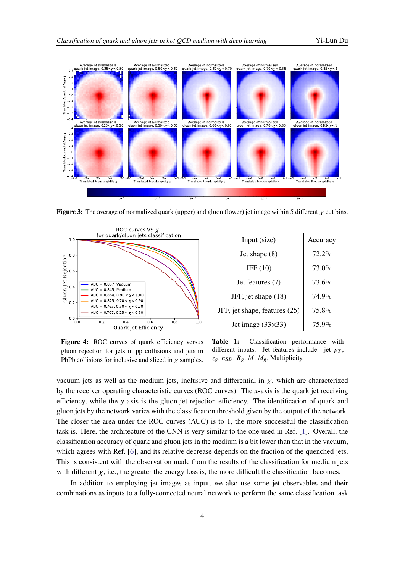<span id="page-3-0"></span>

**Figure 3:** The average of normalized quark (upper) and gluon (lower) jet image within 5 different  $\chi$  cut bins.

<span id="page-3-1"></span>

| Input (size)                  | Accuracy |
|-------------------------------|----------|
| Jet shape $(8)$               | $72.2\%$ |
| JFF(10)                       | $73.0\%$ |
| Jet features (7)              | 73.6%    |
| JFF, jet shape (18)           | 74.9%    |
| JFF, jet shape, features (25) | 75.8%    |
| Jet image $(33\times33)$      | $75.9\%$ |

Figure 4: ROC curves of quark efficiency versus gluon rejection for jets in pp collisions and jets in PbPb collisions for inclusive and sliced in  $\chi$  samples.

**Table 1:** Classification performance with different inputs. Jet features include: jet  $p_T$ ,  $z_g, n_{SD}, R_g, M, M_g$ , Multiplicity.

vacuum jets as well as the medium jets, inclusive and differential in  $\chi$ , which are characterized by the receiver operating characteristic curves (ROC curves). The  $x$ -axis is the quark jet receiving efficiency, while the  $y$ -axis is the gluon jet rejection efficiency. The identification of quark and gluon jets by the network varies with the classification threshold given by the output of the network. The closer the area under the ROC curves (AUC) is to 1, the more successful the classification task is. Here, the architecture of the CNN is very similar to the one used in Ref. [\[1\]](#page-4-0). Overall, the classification accuracy of quark and gluon jets in the medium is a bit lower than that in the vacuum, which agrees with Ref. [\[6\]](#page-4-5), and its relative decrease depends on the fraction of the quenched jets. This is consistent with the observation made from the results of the classification for medium jets with different  $\chi$ , i.e., the greater the energy loss is, the more difficult the classification becomes.

In addition to employing jet images as input, we also use some jet observables and their combinations as inputs to a fully-connected neural network to perform the same classification task